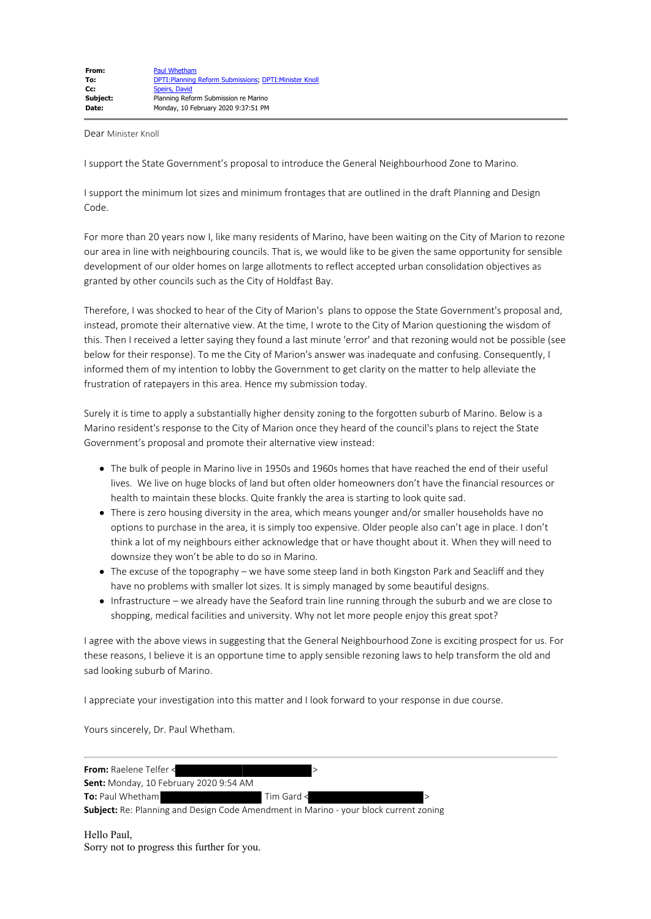Dear Minister Knoll

I support the State Government's proposal to introduce the General Neighbourhood Zone to Marino.

I support the minimum lot sizes and minimum frontages that are outlined in the draft Planning and Design Code.

For more than 20 years now I, like many residents of Marino, have been waiting on the City of Marion to rezone our area in line with neighbouring councils. That is, we would like to be given the same opportunity for sensible development of our older homes on large allotments to reflect accepted urban consolidation objectives as granted by other councils such as the City of Holdfast Bay.

Therefore, I was shocked to hear of the City of Marion's plans to oppose the State Government's proposal and, instead, promote their alternative view. At the time, I wrote to the City of Marion questioning the wisdom of this. Then I received a letter saying they found a last minute 'error' and that rezoning would not be possible (see below for their response). To me the City of Marion's answer was inadequate and confusing. Consequently, I informed them of my intention to lobby the Government to get clarity on the matter to help alleviate the frustration of ratepayers in this area. Hence my submission today.

Surely it is time to apply a substantially higher density zoning to the forgotten suburb of Marino. Below is a Marino resident's response to the City of Marion once they heard of the council's plans to reject the State Government's proposal and promote their alternative view instead:

- The bulk of people in Marino live in 1950s and 1960s homes that have reached the end of their useful lives. We live on huge blocks of land but often older homeowners don't have the financial resources or health to maintain these blocks. Quite frankly the area is starting to look quite sad.
- There is zero housing diversity in the area, which means younger and/or smaller households have no options to purchase in the area, it is simply too expensive. Older people also can't age in place. I don't think a lot of my neighbours either acknowledge that or have thought about it. When they will need to downsize they won't be able to do so in Marino.
- The excuse of the topography we have some steep land in both Kingston Park and Seacliff and they have no problems with smaller lot sizes. It is simply managed by some beautiful designs.
- Infrastructure we already have the Seaford train line running through the suburb and we are close to shopping, medical facilities and university. Why not let more people enjoy this great spot?

I agree with the above views in suggesting that the General Neighbourhood Zone is exciting prospect for us. For these reasons, I believe it is an opportune time to apply sensible rezoning laws to help transform the old and sad looking suburb of Marino.

I appreciate your investigation into this matter and I look forward to your response in due course.

Yours sincerely, Dr. Paul Whetham.

| <b>From:</b> Raelene Telfer <                                                                |            |  |
|----------------------------------------------------------------------------------------------|------------|--|
| <b>Sent:</b> Monday, 10 February 2020 9:54 AM                                                |            |  |
| <b>To:</b> Paul Whetham                                                                      | Tim Gard < |  |
| <b>Subject:</b> Re: Planning and Design Code Amendment in Marino - your block current zoning |            |  |

Hello Paul, Sorry not to progress this further for you.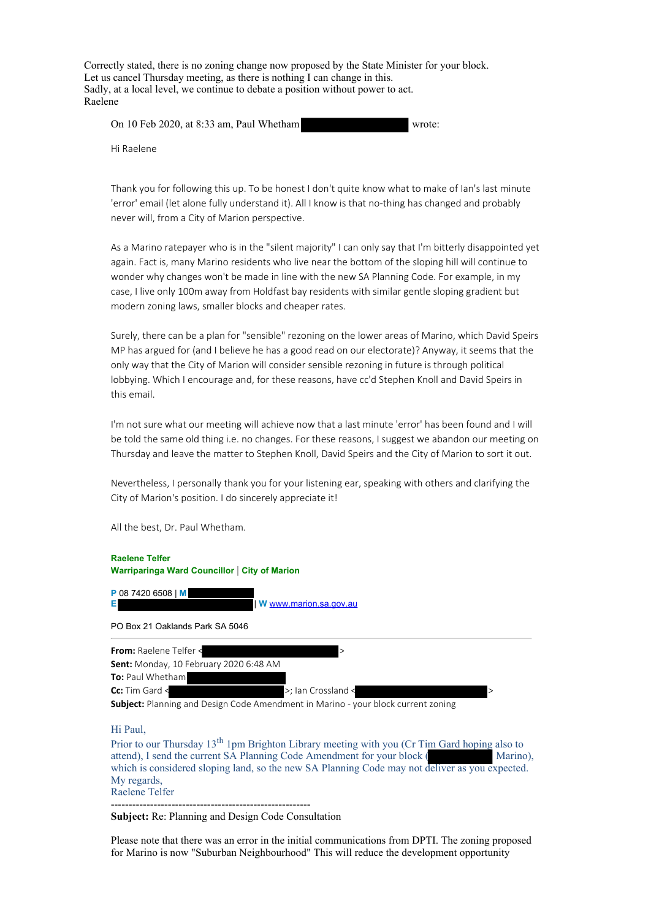Correctly stated, there is no zoning change now proposed by the State Minister for your block. Let us cancel Thursday meeting, as there is nothing I can change in this. Sadly, at a local level, we continue to debate a position without power to act. Raelene

| On 10 Feb 2020, at 8:33 am, Paul Whetham |  |  | wrote: |
|------------------------------------------|--|--|--------|
|------------------------------------------|--|--|--------|

Hi Raelene

Thank you for following this up. To be honest I don't quite know what to make of Ian's last minute 'error' email (let alone fully understand it). All I know is that no-thing has changed and probably never will, from a City of Marion perspective.

As a Marino ratepayer who is in the "silent majority" I can only say that I'm bitterly disappointed yet again. Fact is, many Marino residents who live near the bottom of the sloping hill will continue to wonder why changes won't be made in line with the new SA Planning Code. For example, in my case, I live only 100m away from Holdfast bay residents with similar gentle sloping gradient but modern zoning laws, smaller blocks and cheaper rates.

Surely, there can be a plan for "sensible" rezoning on the lower areas of Marino, which David Speirs MP has argued for (and I believe he has a good read on our electorate)? Anyway, it seems that the only way that the City of Marion will consider sensible rezoning in future is through political lobbying. Which I encourage and, for these reasons, have cc'd Stephen Knoll and David Speirs in this email.

I'm not sure what our meeting will achieve now that a last minute 'error' has been found and I will be told the same old thing i.e. no changes. For these reasons, I suggest we abandon our meeting on Thursday and leave the matter to Stephen Knoll, David Speirs and the City of Marion to sort it out.

Nevertheless, I personally thank you for your listening ear, speaking with others and clarifying the City of Marion's position. I do sincerely appreciate it!

All the best, Dr. Paul Whetham.



Hi Paul,

Prior to our Thursday  $13<sup>th</sup> 1$ pm Brighton Library meeting with you (Cr Tim Gard hoping also to attend), I send the current SA Planning Code Amendment for your block ( Marino), which is considered sloping land, so the new SA Planning Code may not deliver as you expected. My regards, Raelene Telfer

--------------------------------------------------------

**Subject:** Re: Planning and Design Code Consultation

Please note that there was an error in the initial communications from DPTI. The zoning proposed for Marino is now "Suburban Neighbourhood" This will reduce the development opportunity